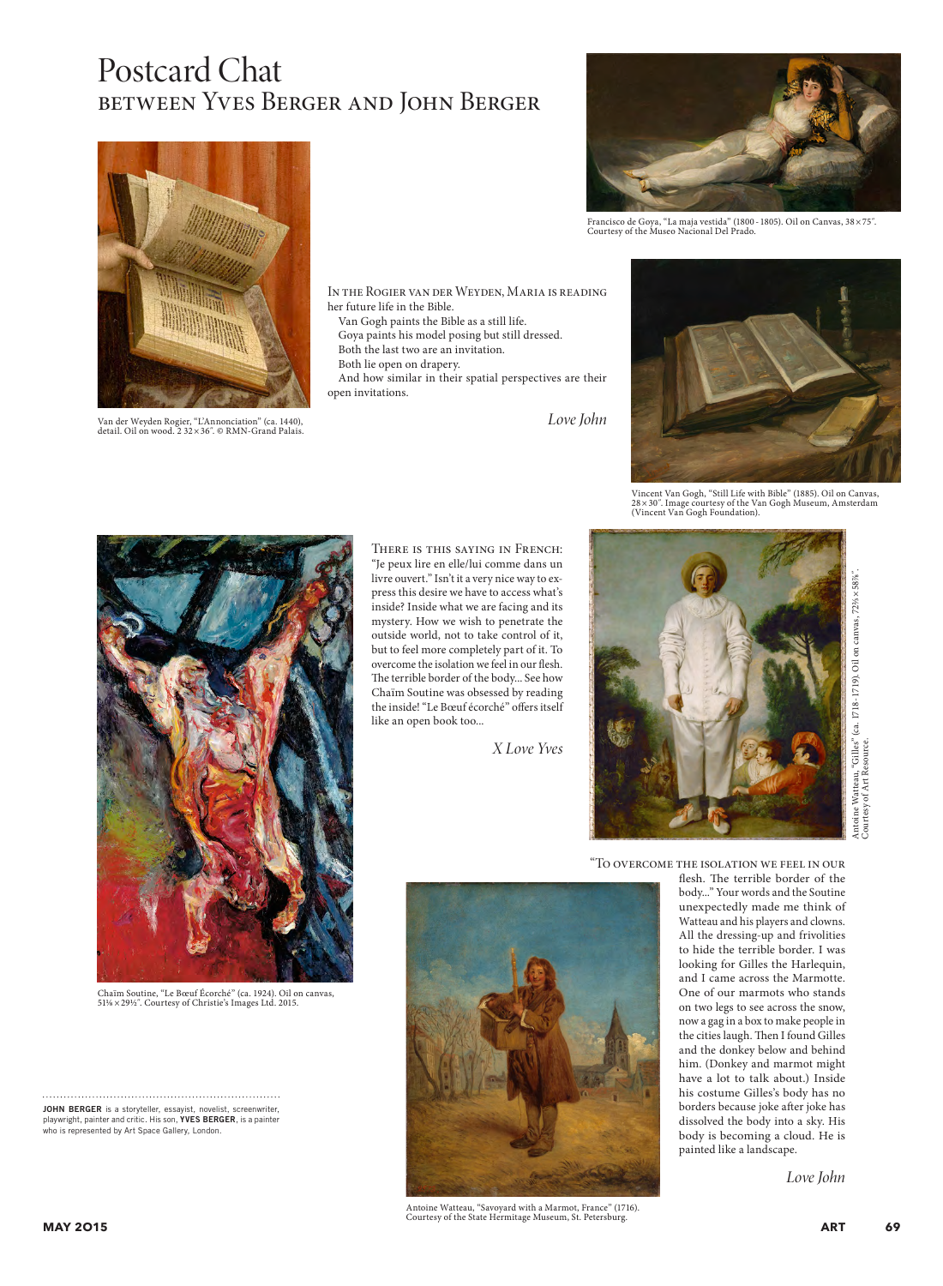## Postcard Chat between Yves Berger and John Berger



Van der Weyden Rogier, "L'Annonciation" (ca. 1440), detail. Oil on wood. 2 32×36˝. © RMN-Grand Palais.

In the Rogier van der Weyden, Maria is reading her future life in the Bible.

Van Gogh paints the Bible as a still life.

Goya paints his model posing but still dressed.

- Both the last two are an invitation.
- Both lie open on drapery.

And how similar in their spatial perspectives are their open invitations.

*Love John*



Francisco de Goya, "La maja vestida" (1800 - 1805). Oil on Canvas, 38×75˝. Courtesy of the Museo Nacional Del Prado.



Vincent Van Gogh, "Still Life with Bible" (1885). Oil on Canvas, 28×30˝. Image courtesy of the Van Gogh Museum, Amsterdam (Vincent Van Gogh Foundation).



Chaïm Soutine, "Le Bœuf Écorché" (ca. 1924). Oil on canvas,

JOHN BERGER is a storyteller, essayist, novelist, screenwriter, playwright, painter and critic. His son, YVES BERGER, is a painter who is represented by Art Space Gallery, London.

There is this saying in French: "Je peux lire en elle/lui comme dans un livre ouvert." Isn't it a very nice way to express this desire we have to access what's inside? Inside what we are facing and its mystery. How we wish to penetrate the outside world, not to take control of it, but to feel more completely part of it. To overcome the isolation we feel in our flesh. The terrible border of the body... See how Chaïm Soutine was obsessed by reading the inside! "Le Bœuf écorché" offers itself like an open book too...

*X Love Yves*



Antoine Watteau, "Gilles" (ca. 1718 - 1719). Oil on canvas, 72%×58%". Antoine Watteau, "Gilles" (ca. 1718 - 1719). Oil on canvas, 72½ × 58%"<br>Courtesy of Art Resource. Courtesy of Art Resource.

"To overcome the isolation we feel in our

Antoine Watteau, "Savoyard with a Marmot, France" (1716). Courtesy of the State Hermitage Museum, St. Petersburg.

flesh. The terrible border of the body..." Your words and the Soutine unexpectedly made me think of Watteau and his players and clowns. All the dressing-up and frivolities to hide the terrible border. I was looking for Gilles the Harlequin, and I came across the Marmotte. One of our marmots who stands on two legs to see across the snow, now a gag in a box to make people in the cities laugh. Then I found Gilles and the donkey below and behind him. (Donkey and marmot might have a lot to talk about.) Inside his costume Gilles's body has no borders because joke after joke has dissolved the body into a sky. His body is becoming a cloud. He is painted like a landscape.

*Love John*

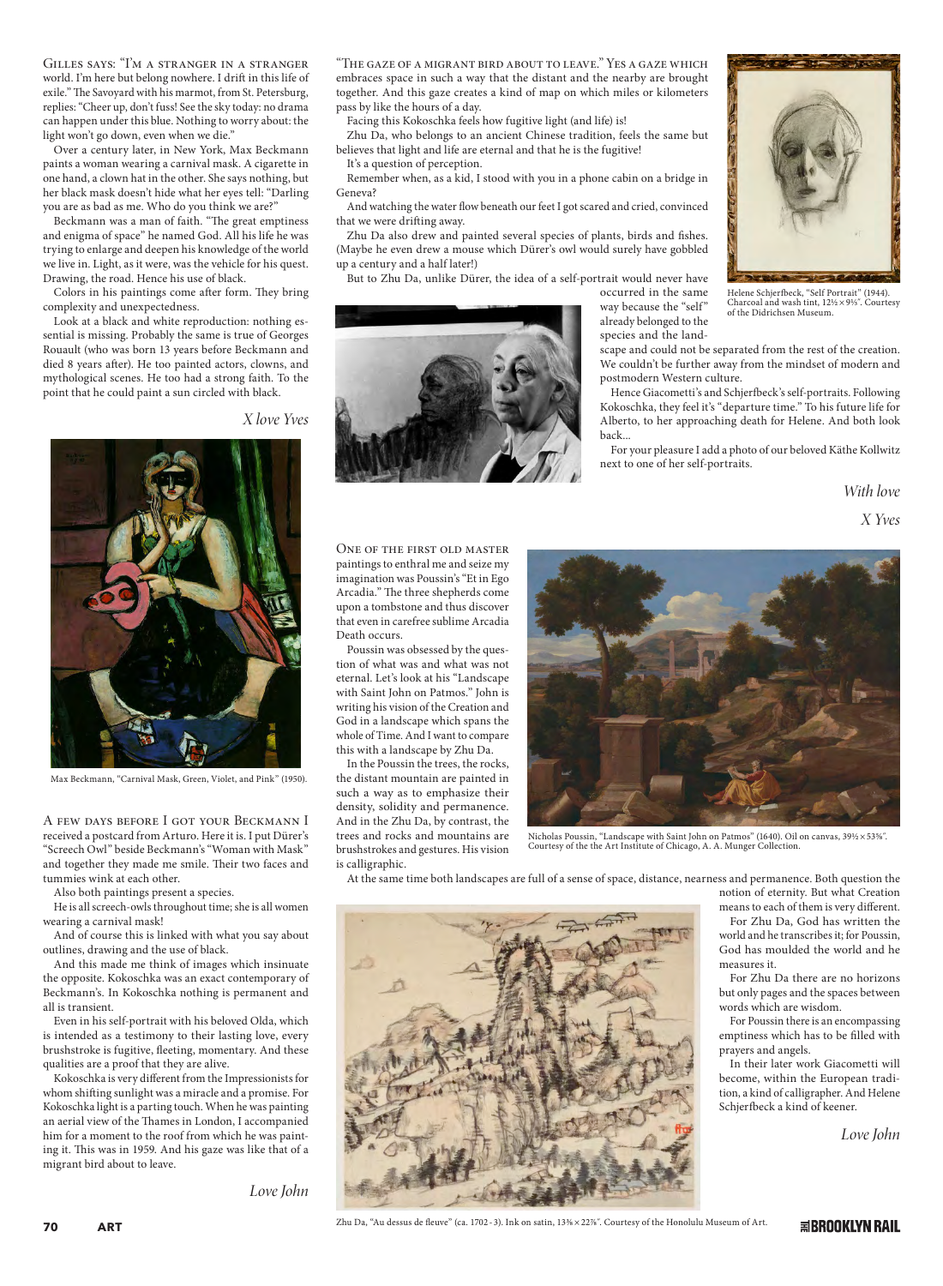Gilles says: "I'm a stranger in a stranger world. I'm here but belong nowhere. I drift in this life of exile." The Savoyard with his marmot, from St. Petersburg, replies: "Cheer up, don't fuss! See the sky today: no drama can happen under this blue. Nothing to worry about: the light won't go down, even when we die."

Over a century later, in New York, Max Beckmann paints a woman wearing a carnival mask. A cigarette in one hand, a clown hat in the other. She says nothing, but her black mask doesn't hide what her eyes tell: "Darling you are as bad as me. Who do you think we are?"

Beckmann was a man of faith. "The great emptiness and enigma of space" he named God. All his life he was trying to enlarge and deepen his knowledge of the world we live in. Light, as it were, was the vehicle for his quest. Drawing, the road. Hence his use of black.

Colors in his paintings come after form. They bring complexity and unexpectedness.

Look at a black and white reproduction: nothing essential is missing. Probably the same is true of Georges Rouault (who was born 13 years before Beckmann and died 8 years after). He too painted actors, clowns, and mythological scenes. He too had a strong faith. To the point that he could paint a sun circled with black.

*X love Yves*



Max Beckmann, "Carnival Mask, Green, Violet, and Pink" (1950).

A few days before I got your Beckmann I received a postcard from Arturo. Here it is. I put Dürer's "Screech Owl" beside Beckmann's "Woman with Mask" and together they made me smile. Their two faces and tummies wink at each other.

Also both paintings present a species.

He is all screech-owls throughout time; she is all women wearing a carnival mask!

And of course this is linked with what you say about outlines, drawing and the use of black.

And this made me think of images which insinuate the opposite. Kokoschka was an exact contemporary of Beckmann's. In Kokoschka nothing is permanent and all is transient.

Even in his self-portrait with his beloved Olda, which is intended as a testimony to their lasting love, every brushstroke is fugitive, fleeting, momentary. And these qualities are a proof that they are alive.

Kokoschka is very different from the Impressionists for whom shifting sunlight was a miracle and a promise. For Kokoschka light is a parting touch. When he was painting an aerial view of the Thames in London, I accompanied him for a moment to the roof from which he was painting it. This was in 1959. And his gaze was like that of a migrant bird about to leave.

*Love John*

"The gaze of a migrant bird about to leave." Yes a gaze which embraces space in such a way that the distant and the nearby are brought together. And this gaze creates a kind of map on which miles or kilometers Zhu Da, who belongs to an ancient Chinese tradition, feels the same but Remember when, as a kid, I stood with you in a phone cabin on a bridge in And watching the water flow beneath our feet I got scared and cried, convinced Zhu Da also drew and painted several species of plants, birds and fishes. (Maybe he even drew a mouse which Dürer's owl would surely have gobbled

> Helene Schjerfbeck, "Self Portrait" (1944). Charcoal and wash tint,  $12\frac{1}{2} \times 9\frac{1}{3}$ . Courtesy of the Didrichsen Museum.

already belonged to the species and the landscape and could not be separated from the rest of the creation. We couldn't be further away from the mindset of modern and postmodern Western culture.

occurred in the same way because the "self"

Hence Giacometti's and Schjerfbeck's self-portraits. Following Kokoschka, they feel it's "departure time." To his future life for Alberto, to her approaching death for Helene. And both look back...

For your pleasure I add a photo of our beloved Käthe Kollwitz next to one of her self-portraits.

> *With love X Yves*

One of the first old master paintings to enthral me and seize my imagination was Poussin's "Et in Ego Arcadia." The three shepherds come upon a tombstone and thus discover that even in carefree sublime Arcadia Death occurs.

pass by like the hours of a day.

It's a question of perception.

that we were drifting away.

up a century and a half later!)

Geneva?

Facing this Kokoschka feels how fugitive light (and life) is!

believes that light and life are eternal and that he is the fugitive!

But to Zhu Da, unlike Dürer, the idea of a self-portrait would never have

Poussin was obsessed by the question of what was and what was not eternal. Let's look at his "Landscape with Saint John on Patmos." John is writing his vision of the Creation and God in a landscape which spans the whole of Time. And I want to compare this with a landscape by Zhu Da.

In the Poussin the trees, the rocks, the distant mountain are painted in such a way as to emphasize their density, solidity and permanence. And in the Zhu Da, by contrast, the trees and rocks and mountains are brushstrokes and gestures. His vision is calligraphic.



Nicholas Poussin, "Landscape with Saint John on Patmos" (1640). Oil on canvas, 39½ × 53%". Courtesy of the the Art Institute of Chicago, A. A. Munger Collection.

At the same time both landscapes are full of a sense of space, distance, nearness and permanence. Both question the



notion of eternity. But what Creation means to each of them is very different.

For Zhu Da, God has written the world and he transcribes it; for Poussin, God has moulded the world and he measures it.

For Zhu Da there are no horizons but only pages and the spaces between words which are wisdom.

For Poussin there is an encompassing emptiness which has to be filled with prayers and angels.

In their later work Giacometti will become, within the European tradition, a kind of calligrapher. And Helene Schjerfbeck a kind of keener.

*Love John*

Zhu Da, "Au dessus de fleuve" (ca. 1702 - 3). Ink on satin, 13% × 22%". Courtesy of the Honolulu Museum of Art.

**国BROOKLYN RAIL**